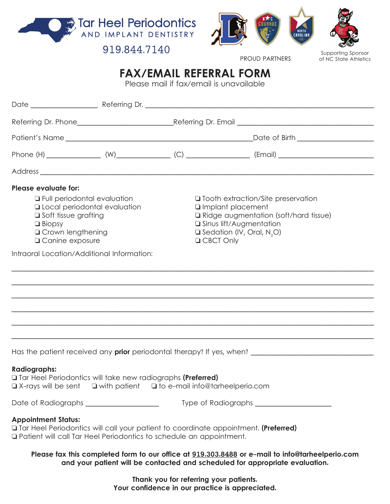



919.844.7140

PROUD PARTNERS

Supporting Sponsor of NC State Athletics

## **FAX/EMAIL REFERRAL FORM**

Please mail if fax/email is unavailable

|                                                                                                                                                                                                                                                                                                                                                                                                                                                                                 |  |  | Date of Birth ______________________ |
|---------------------------------------------------------------------------------------------------------------------------------------------------------------------------------------------------------------------------------------------------------------------------------------------------------------------------------------------------------------------------------------------------------------------------------------------------------------------------------|--|--|--------------------------------------|
|                                                                                                                                                                                                                                                                                                                                                                                                                                                                                 |  |  |                                      |
|                                                                                                                                                                                                                                                                                                                                                                                                                                                                                 |  |  |                                      |
| <b>Please evaluate for:</b><br><b>T</b> Full periodontal evaluation<br>□ Tooth extraction/Site preservation<br><b>Q</b> Local periodontal evaluation<br>Implant placement<br>□ Soft tissue grafting<br>□ Ridge augmentation (soft/hard tissue)<br><b>Janus lift/Augmentation</b><br>$\Box$ Biopsy<br><b>Q</b> Crown lengthening<br>$\Box$ Sedation (IV, Oral, N <sub>2</sub> O)<br><b>Q CBCT Only</b><br><b>Q</b> Canine exposure<br>Intraoral Location/Additional Information: |  |  |                                      |
|                                                                                                                                                                                                                                                                                                                                                                                                                                                                                 |  |  |                                      |
|                                                                                                                                                                                                                                                                                                                                                                                                                                                                                 |  |  |                                      |
| <b>Radiographs:</b><br><b>Tar Heel Periodontics will take new radiographs (Preferred)</b><br>$\Box$ X-rays will be sent $\Box$ with patient $\Box$ to e-mail info@tarheelperio.com                                                                                                                                                                                                                                                                                              |  |  |                                      |
| Date of Radiographs _____________________                                                                                                                                                                                                                                                                                                                                                                                                                                       |  |  | Type of Radiographs                  |
| <b>Appointment Status:</b><br><b>The Head Periodontics will call your patient to coordinate appointment. (Preferred)</b><br><b>Q</b> Patient will call Tar Heel Periodontics to schedule an appointment.                                                                                                                                                                                                                                                                        |  |  |                                      |
| Please fax this completed form to our office at 919.303.8488 or e-mail to info@tarheelperio.com<br>and your patient will be contacted and scheduled for appropriate evaluation.                                                                                                                                                                                                                                                                                                 |  |  |                                      |

**Thank you for referring your patients. Your confidence in our practice is appreciated.**